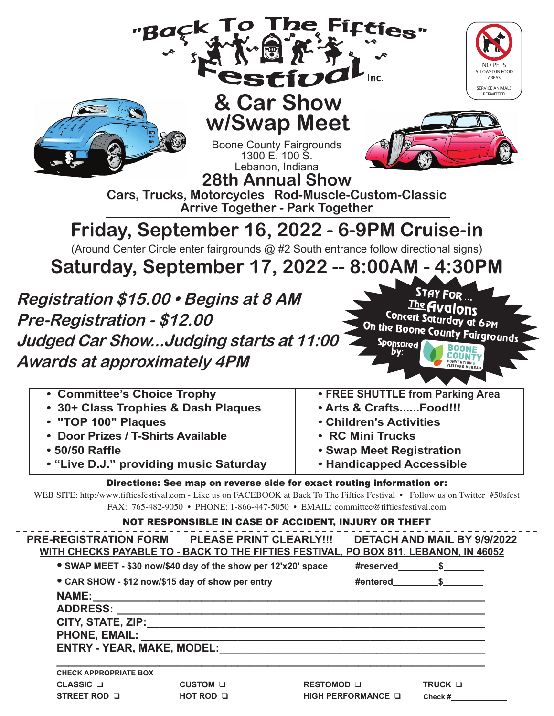